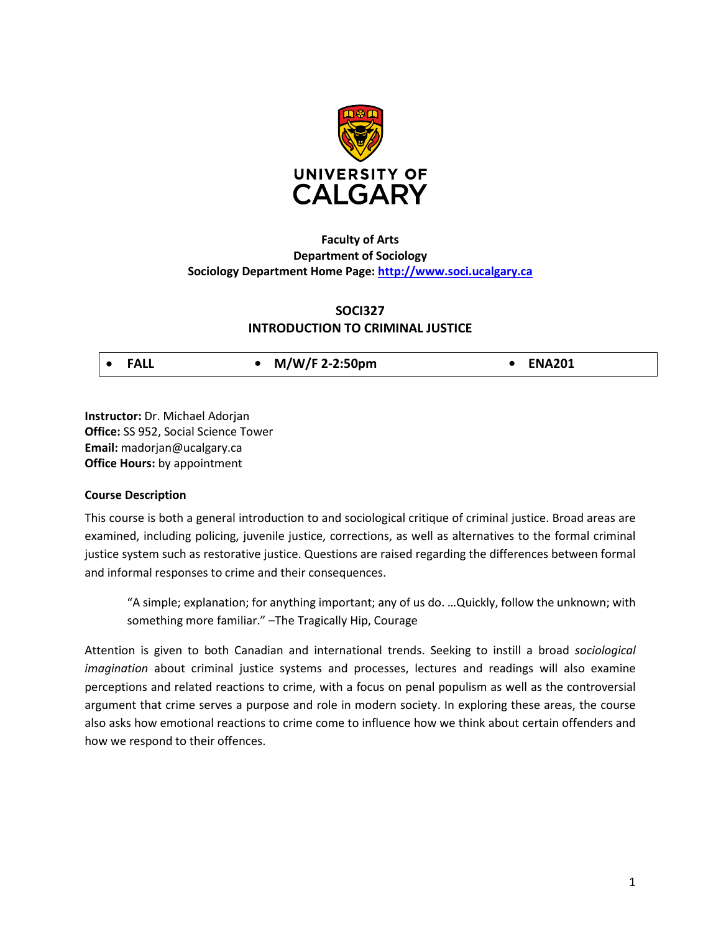

# **Faculty of Arts Department of Sociology Sociology Department Home Page: [http://www.soci.ucalgary.ca](http://www.soci.ucalgary.ca/)**

# **SOCI327**

# **INTRODUCTION TO CRIMINAL JUSTICE**

| <b>FALL</b> | M/W/F 2-2:50pm | <b>ENA201</b> |
|-------------|----------------|---------------|
|-------------|----------------|---------------|

**Instructor:** Dr. Michael Adorjan **Office:** SS 952, Social Science Tower **Email:** madorjan@ucalgary.ca **Office Hours:** by appointment

# **Course Description**

This course is both a general introduction to and sociological critique of criminal justice. Broad areas are examined, including policing, juvenile justice, corrections, as well as alternatives to the formal criminal justice system such as restorative justice. Questions are raised regarding the differences between formal and informal responses to crime and their consequences.

"A simple; explanation; for anything important; any of us do. …Quickly, follow the unknown; with something more familiar." –The Tragically Hip, Courage

Attention is given to both Canadian and international trends. Seeking to instill a broad *sociological imagination* about criminal justice systems and processes, lectures and readings will also examine perceptions and related reactions to crime, with a focus on penal populism as well as the controversial argument that crime serves a purpose and role in modern society. In exploring these areas, the course also asks how emotional reactions to crime come to influence how we think about certain offenders and how we respond to their offences.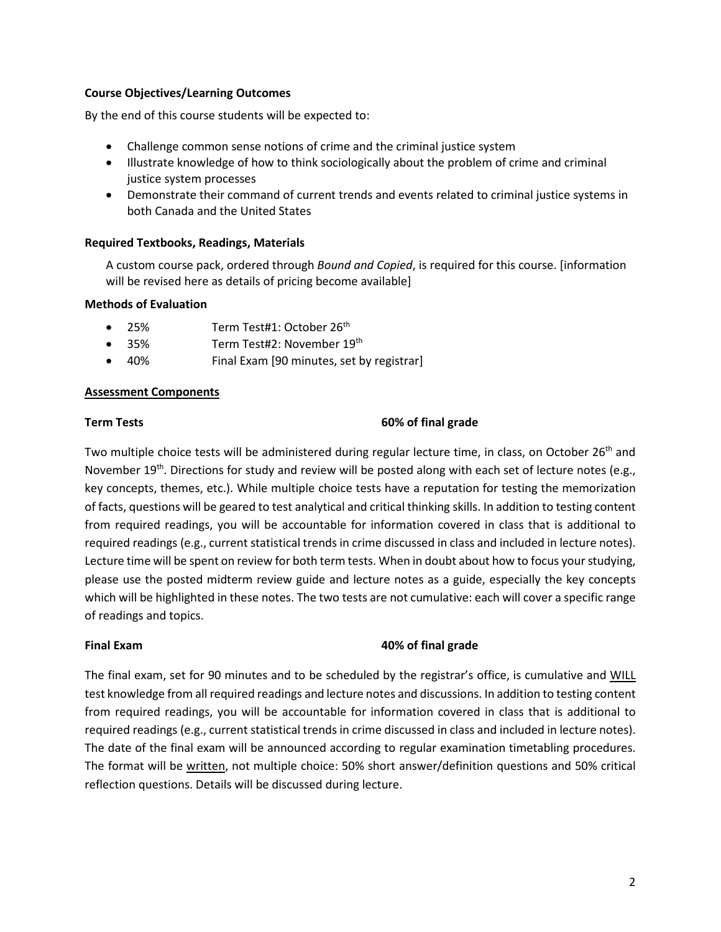#### **Course Objectives/Learning Outcomes**

By the end of this course students will be expected to:

- Challenge common sense notions of crime and the criminal justice system
- Illustrate knowledge of how to think sociologically about the problem of crime and criminal justice system processes
- Demonstrate their command of current trends and events related to criminal justice systems in both Canada and the United States

#### **Required Textbooks, Readings, Materials**

A custom course pack, ordered through *Bound and Copied*, is required for this course. [information will be revised here as details of pricing become available]

#### **Methods of Evaluation**

- 25% Term Test#1: October 26th
- 35% Term Test#2: November 19th
- 40% Final Exam [90 minutes, set by registrar]

#### **Assessment Components**

#### **Term Tests 60% of final grade**

Two multiple choice tests will be administered during regular lecture time, in class, on October 26<sup>th</sup> and November 19<sup>th</sup>. Directions for study and review will be posted along with each set of lecture notes (e.g., key concepts, themes, etc.). While multiple choice tests have a reputation for testing the memorization of facts, questions will be geared to test analytical and critical thinking skills. In addition to testing content from required readings, you will be accountable for information covered in class that is additional to required readings (e.g., current statistical trends in crime discussed in class and included in lecture notes). Lecture time will be spent on review for both term tests. When in doubt about how to focus your studying, please use the posted midterm review guide and lecture notes as a guide, especially the key concepts which will be highlighted in these notes. The two tests are not cumulative: each will cover a specific range of readings and topics.

# **Final Exam 40% of final grade**

The final exam, set for 90 minutes and to be scheduled by the registrar's office, is cumulative and WILL test knowledge from all required readings and lecture notes and discussions. In addition to testing content from required readings, you will be accountable for information covered in class that is additional to required readings (e.g., current statistical trends in crime discussed in class and included in lecture notes). The date of the final exam will be announced according to regular examination timetabling procedures. The format will be written, not multiple choice: 50% short answer/definition questions and 50% critical reflection questions. Details will be discussed during lecture.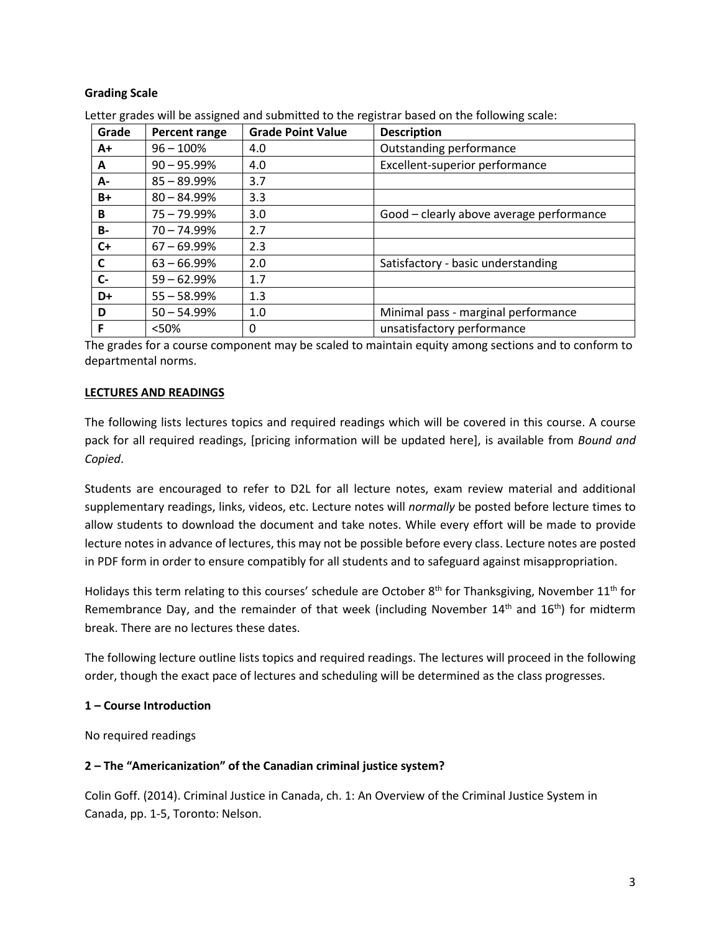# **Grading Scale**

| Grade     | <b>Percent range</b> | <b>Grade Point Value</b> | <b>Description</b>                       |
|-----------|----------------------|--------------------------|------------------------------------------|
| $A+$      | $96 - 100\%$         | 4.0                      | Outstanding performance                  |
| A         | $90 - 95.99\%$       | 4.0                      | Excellent-superior performance           |
| А-        | $85 - 89.99\%$       | 3.7                      |                                          |
| B+        | $80 - 84.99\%$       | 3.3                      |                                          |
| B         | $75 - 79.99\%$       | 3.0                      | Good - clearly above average performance |
| <b>B-</b> | $70 - 74.99\%$       | 2.7                      |                                          |
| $C+$      | $67 - 69.99\%$       | 2.3                      |                                          |
| C         | $63 - 66.99\%$       | 2.0                      | Satisfactory - basic understanding       |
| $C-$      | $59 - 62.99%$        | 1.7                      |                                          |
| D+        | $55 - 58.99%$        | 1.3                      |                                          |
| D         | $50 - 54.99%$        | 1.0                      | Minimal pass - marginal performance      |
| F         | < 50%                | 0                        | unsatisfactory performance               |

Letter grades will be assigned and submitted to the registrar based on the following scale:

The grades for a course component may be scaled to maintain equity among sections and to conform to departmental norms.

#### **LECTURES AND READINGS**

The following lists lectures topics and required readings which will be covered in this course. A course pack for all required readings, [pricing information will be updated here], is available from *Bound and Copied*.

Students are encouraged to refer to D2L for all lecture notes, exam review material and additional supplementary readings, links, videos, etc. Lecture notes will *normally* be posted before lecture times to allow students to download the document and take notes. While every effort will be made to provide lecture notes in advance of lectures, this may not be possible before every class. Lecture notes are posted in PDF form in order to ensure compatibly for all students and to safeguard against misappropriation.

Holidays this term relating to this courses' schedule are October  $8^{th}$  for Thanksgiving, November  $11^{th}$  for Remembrance Day, and the remainder of that week (including November  $14<sup>th</sup>$  and  $16<sup>th</sup>$ ) for midterm break. There are no lectures these dates.

The following lecture outline lists topics and required readings. The lectures will proceed in the following order, though the exact pace of lectures and scheduling will be determined as the class progresses.

#### **1 – Course Introduction**

No required readings

# **2 – The "Americanization" of the Canadian criminal justice system?**

Colin Goff. (2014). Criminal Justice in Canada, ch. 1: An Overview of the Criminal Justice System in Canada, pp. 1-5, Toronto: Nelson.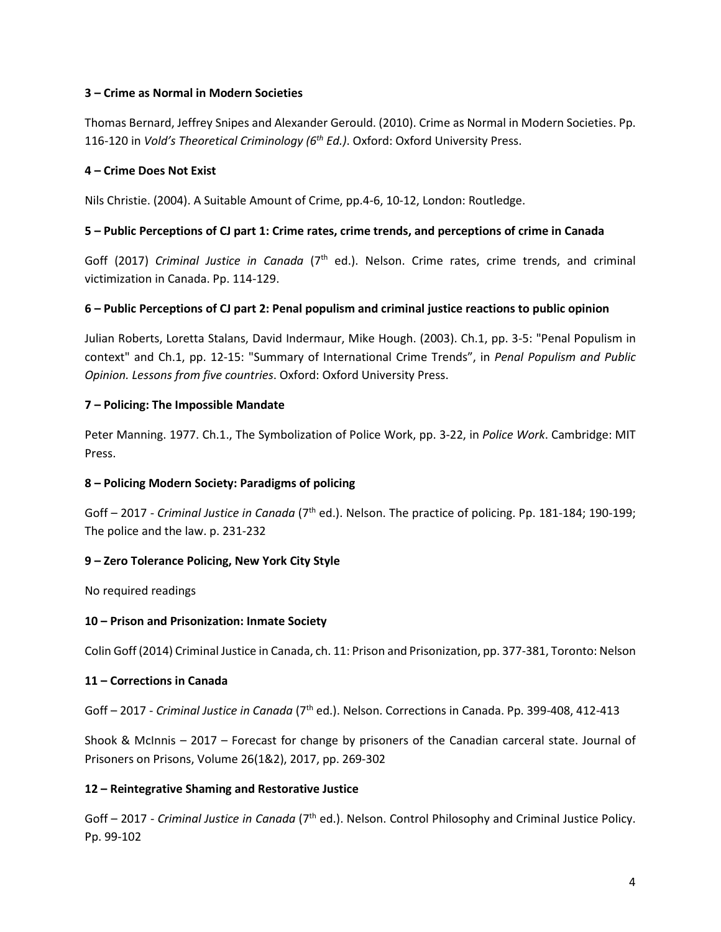# **3 – Crime as Normal in Modern Societies**

Thomas Bernard, Jeffrey Snipes and Alexander Gerould. (2010). Crime as Normal in Modern Societies. Pp. 116-120 in *Vold's Theoretical Criminology (6th Ed.)*. Oxford: Oxford University Press.

# **4 – Crime Does Not Exist**

Nils Christie. (2004). A Suitable Amount of Crime, pp.4-6, 10-12, London: Routledge.

# **5 – Public Perceptions of CJ part 1: Crime rates, crime trends, and perceptions of crime in Canada**

Goff (2017) *Criminal Justice in Canada* (7<sup>th</sup> ed.). Nelson. Crime rates, crime trends, and criminal victimization in Canada. Pp. 114-129.

# **6 – Public Perceptions of CJ part 2: Penal populism and criminal justice reactions to public opinion**

Julian Roberts, Loretta Stalans, David Indermaur, Mike Hough. (2003). Ch.1, pp. 3-5: "Penal Populism in context" and Ch.1, pp. 12-15: "Summary of International Crime Trends", in *Penal Populism and Public Opinion. Lessons from five countries*. Oxford: Oxford University Press.

# **7 – Policing: The Impossible Mandate**

Peter Manning. 1977. Ch.1., The Symbolization of Police Work, pp. 3-22, in *Police Work*. Cambridge: MIT Press.

# **8 – Policing Modern Society: Paradigms of policing**

Goff – 2017 - *Criminal Justice in Canada* (7<sup>th</sup> ed.). Nelson. The practice of policing. Pp. 181-184; 190-199; The police and the law. p. 231-232

# **9 – Zero Tolerance Policing, New York City Style**

No required readings

# **10 – Prison and Prisonization: Inmate Society**

Colin Goff (2014) Criminal Justice in Canada, ch. 11: Prison and Prisonization, pp. 377-381, Toronto: Nelson

# **11 – Corrections in Canada**

Goff – 2017 - *Criminal Justice in Canada* (7th ed.). Nelson. Corrections in Canada. Pp. 399-408, 412-413

Shook & McInnis – 2017 – Forecast for change by prisoners of the Canadian carceral state. Journal of Prisoners on Prisons, Volume 26(1&2), 2017, pp. 269-302

# **12 – Reintegrative Shaming and Restorative Justice**

Goff – 2017 - *Criminal Justice in Canada* (7<sup>th</sup> ed.). Nelson. Control Philosophy and Criminal Justice Policy. Pp. 99-102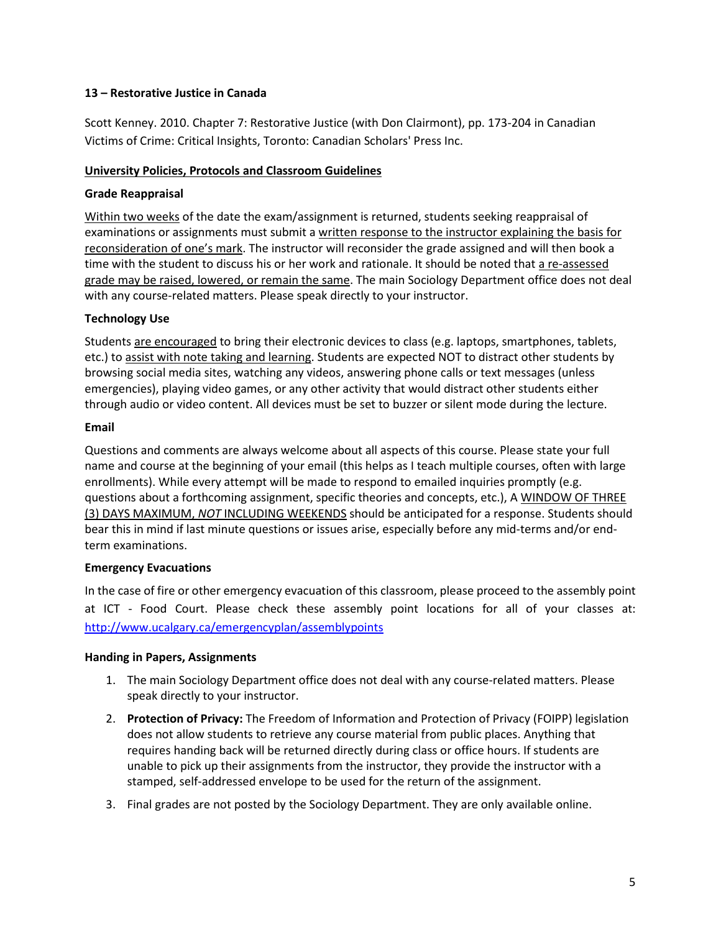# **13 – Restorative Justice in Canada**

Scott Kenney. 2010. Chapter 7: Restorative Justice (with Don Clairmont), pp. 173-204 in Canadian Victims of Crime: Critical Insights, Toronto: Canadian Scholars' Press Inc.

# **University Policies, Protocols and Classroom Guidelines**

# **Grade Reappraisal**

Within two weeks of the date the exam/assignment is returned, students seeking reappraisal of examinations or assignments must submit a written response to the instructor explaining the basis for reconsideration of one's mark. The instructor will reconsider the grade assigned and will then book a time with the student to discuss his or her work and rationale. It should be noted that a re-assessed grade may be raised, lowered, or remain the same. The main Sociology Department office does not deal with any course-related matters. Please speak directly to your instructor.

# **Technology Use**

Students are encouraged to bring their electronic devices to class (e.g. laptops, smartphones, tablets, etc.) to assist with note taking and learning. Students are expected NOT to distract other students by browsing social media sites, watching any videos, answering phone calls or text messages (unless emergencies), playing video games, or any other activity that would distract other students either through audio or video content. All devices must be set to buzzer or silent mode during the lecture.

# **Email**

Questions and comments are always welcome about all aspects of this course. Please state your full name and course at the beginning of your email (this helps as I teach multiple courses, often with large enrollments). While every attempt will be made to respond to emailed inquiries promptly (e.g. questions about a forthcoming assignment, specific theories and concepts, etc.), A WINDOW OF THREE (3) DAYS MAXIMUM, *NOT* INCLUDING WEEKENDS should be anticipated for a response. Students should bear this in mind if last minute questions or issues arise, especially before any mid-terms and/or endterm examinations.

# **Emergency Evacuations**

In the case of fire or other emergency evacuation of this classroom, please proceed to the assembly point at ICT - Food Court. Please check these assembly point locations for all of your classes at: <http://www.ucalgary.ca/emergencyplan/assemblypoints>

# **Handing in Papers, Assignments**

- 1. The main Sociology Department office does not deal with any course-related matters. Please speak directly to your instructor.
- 2. **Protection of Privacy:** The Freedom of Information and Protection of Privacy (FOIPP) legislation does not allow students to retrieve any course material from public places. Anything that requires handing back will be returned directly during class or office hours. If students are unable to pick up their assignments from the instructor, they provide the instructor with a stamped, self-addressed envelope to be used for the return of the assignment.
- 3. Final grades are not posted by the Sociology Department. They are only available online.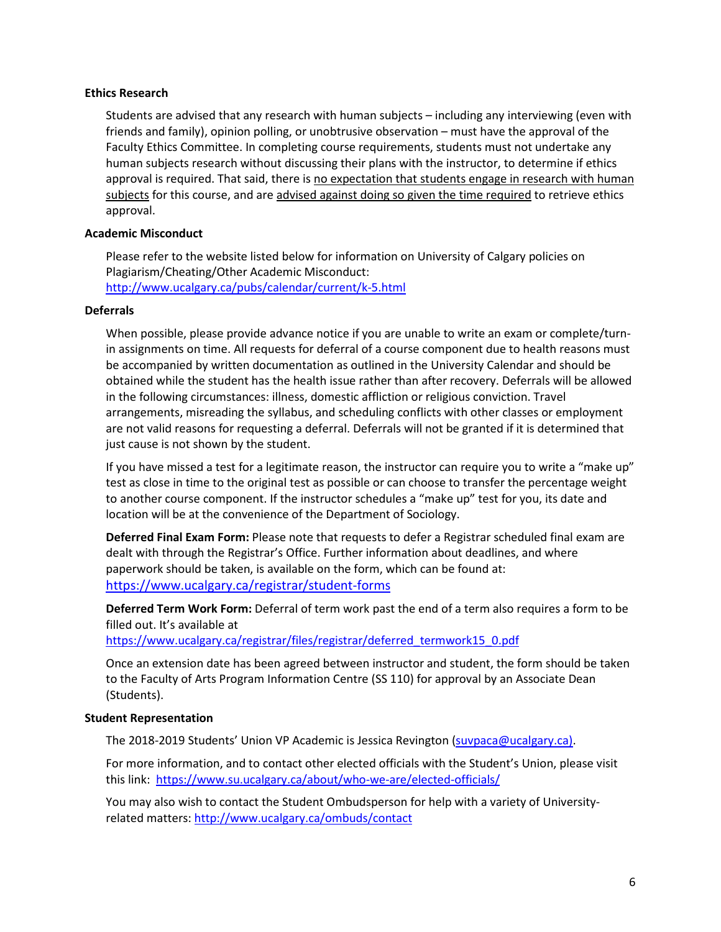#### **Ethics Research**

Students are advised that any research with human subjects – including any interviewing (even with friends and family), opinion polling, or unobtrusive observation – must have the approval of the Faculty Ethics Committee. In completing course requirements, students must not undertake any human subjects research without discussing their plans with the instructor, to determine if ethics approval is required. That said, there is no expectation that students engage in research with human subjects for this course, and are advised against doing so given the time required to retrieve ethics approval.

# **Academic Misconduct**

Please refer to the website listed below for information on University of Calgary policies on Plagiarism/Cheating/Other Academic Misconduct: <http://www.ucalgary.ca/pubs/calendar/current/k-5.html>

#### **Deferrals**

When possible, please provide advance notice if you are unable to write an exam or complete/turnin assignments on time. All requests for deferral of a course component due to health reasons must be accompanied by written documentation as outlined in the University Calendar and should be obtained while the student has the health issue rather than after recovery. Deferrals will be allowed in the following circumstances: illness, domestic affliction or religious conviction. Travel arrangements, misreading the syllabus, and scheduling conflicts with other classes or employment are not valid reasons for requesting a deferral. Deferrals will not be granted if it is determined that just cause is not shown by the student.

If you have missed a test for a legitimate reason, the instructor can require you to write a "make up" test as close in time to the original test as possible or can choose to transfer the percentage weight to another course component. If the instructor schedules a "make up" test for you, its date and location will be at the convenience of the Department of Sociology.

**Deferred Final Exam Form:** Please note that requests to defer a Registrar scheduled final exam are dealt with through the Registrar's Office. Further information about deadlines, and where paperwork should be taken, is available on the form, which can be found at: <https://www.ucalgary.ca/registrar/student-forms>

**Deferred Term Work Form:** Deferral of term work past the end of a term also requires a form to be filled out. It's available at

https://www.ucalgary.ca/registrar/files/registrar/deferred\_termwork15\_0.pdf

Once an extension date has been agreed between instructor and student, the form should be taken to the Faculty of Arts Program Information Centre (SS 110) for approval by an Associate Dean (Students).

#### **Student Representation**

The 2018-2019 Students' Union VP Academic is Jessica Revington [\(suvpaca@ucalgary.ca\)](mailto:suvpaca@ucalgary.ca).

For more information, and to contact other elected officials with the Student's Union, please visit this link:<https://www.su.ucalgary.ca/about/who-we-are/elected-officials/>

You may also wish to contact the Student Ombudsperson for help with a variety of Universityrelated matters:<http://www.ucalgary.ca/ombuds/contact>